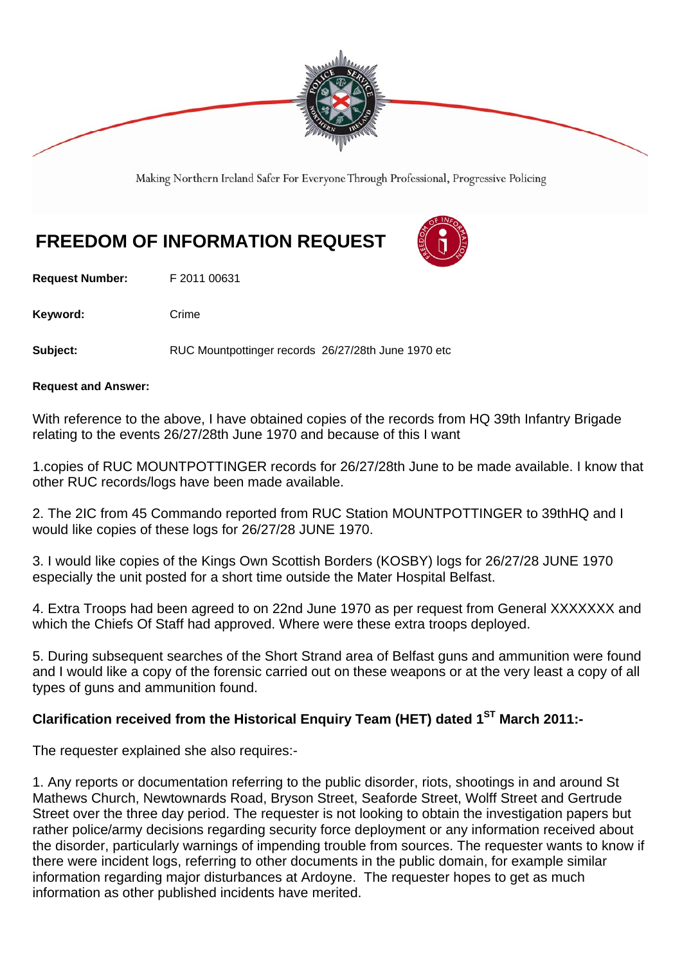

Making Northern Ireland Safer For Everyone Through Professional, Progressive Policing

# **FREEDOM OF INFORMATION REQUEST**

**Request Number:** F 2011 00631

Keyword: Crime

**Subject:** RUC Mountpottinger records 26/27/28th June 1970 etc

#### **Request and Answer:**

With reference to the above, I have obtained copies of the records from HQ 39th Infantry Brigade relating to the events 26/27/28th June 1970 and because of this I want

1.copies of RUC MOUNTPOTTINGER records for 26/27/28th June to be made available. I know that other RUC records/logs have been made available.

2. The 2IC from 45 Commando reported from RUC Station MOUNTPOTTINGER to 39thHQ and I would like copies of these logs for 26/27/28 JUNE 1970.

3. I would like copies of the Kings Own Scottish Borders (KOSBY) logs for 26/27/28 JUNE 1970 especially the unit posted for a short time outside the Mater Hospital Belfast.

4. Extra Troops had been agreed to on 22nd June 1970 as per request from General XXXXXXX and which the Chiefs Of Staff had approved. Where were these extra troops deployed.

5. During subsequent searches of the Short Strand area of Belfast guns and ammunition were found and I would like a copy of the forensic carried out on these weapons or at the very least a copy of all types of guns and ammunition found.

# Clarification received from the Historical Enquiry Team (HET) dated 1<sup>ST</sup> March 2011:-

The requester explained she also requires:-

1. Any reports or documentation referring to the public disorder, riots, shootings in and around St Mathews Church, Newtownards Road, Bryson Street, Seaforde Street, Wolff Street and Gertrude Street over the three day period. The requester is not looking to obtain the investigation papers but rather police/army decisions regarding security force deployment or any information received about the disorder, particularly warnings of impending trouble from sources. The requester wants to know if there were incident logs, referring to other documents in the public domain, for example similar information regarding major disturbances at Ardoyne. The requester hopes to get as much information as other published incidents have merited.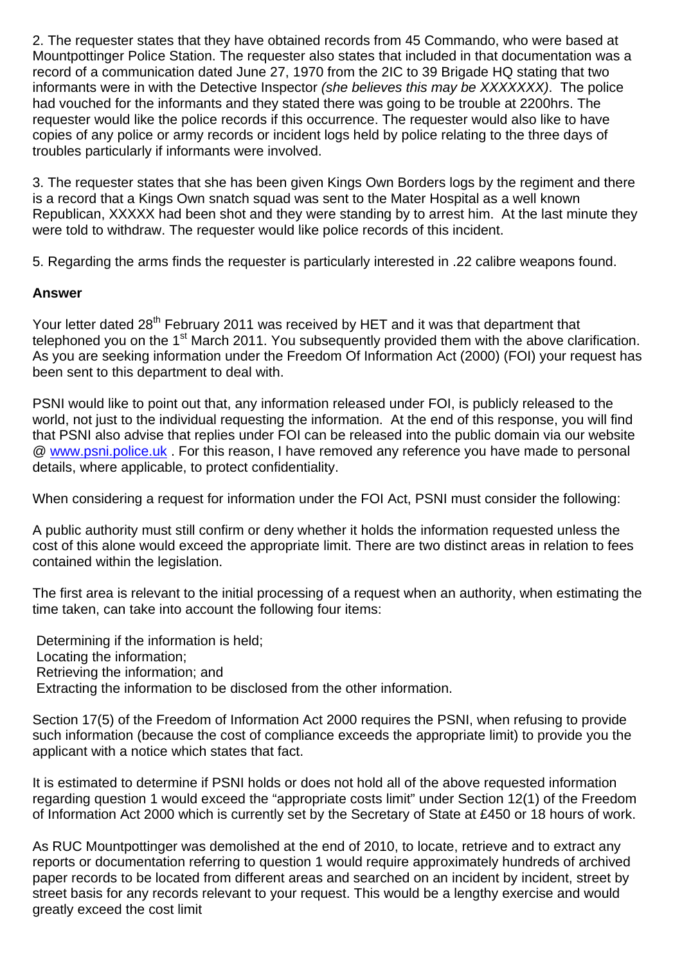2. The requester states that they have obtained records from 45 Commando, who were based at Mountpottinger Police Station. The requester also states that included in that documentation was a record of a communication dated June 27, 1970 from the 2IC to 39 Brigade HQ stating that two informants were in with the Detective Inspector *(she believes this may be XXXXXXX)*. The police had vouched for the informants and they stated there was going to be trouble at 2200hrs. The requester would like the police records if this occurrence. The requester would also like to have copies of any police or army records or incident logs held by police relating to the three days of troubles particularly if informants were involved.

3. The requester states that she has been given Kings Own Borders logs by the regiment and there is a record that a Kings Own snatch squad was sent to the Mater Hospital as a well known Republican, XXXXX had been shot and they were standing by to arrest him. At the last minute they were told to withdraw. The requester would like police records of this incident.

5. Regarding the arms finds the requester is particularly interested in .22 calibre weapons found.

## **Answer**

Your letter dated 28<sup>th</sup> February 2011 was received by HET and it was that department that telephoned you on the 1<sup>st</sup> March 2011. You subsequently provided them with the above clarification. As you are seeking information under the Freedom Of Information Act (2000) (FOI) your request has been sent to this department to deal with.

PSNI would like to point out that, any information released under FOI, is publicly released to the world, not just to the individual requesting the information. At the end of this response, you will find that PSNI also advise that replies under FOI can be released into the public domain via our website @ www.psni.police.uk . For this reason, I have removed any reference you have made to personal details, where applicable, to protect confidentiality.

When considering a request for information under the FOI Act, PSNI must consider the following:

A public authority must still confirm or deny whether it holds the information requested unless the cost of this alone would exceed the appropriate limit. There are two distinct areas in relation to fees contained within the legislation.

The first area is relevant to the initial processing of a request when an authority, when estimating the time taken, can take into account the following four items:

 Determining if the information is held; Locating the information; Retrieving the information; and Extracting the information to be disclosed from the other information.

Section 17(5) of the Freedom of Information Act 2000 requires the PSNI, when refusing to provide such information (because the cost of compliance exceeds the appropriate limit) to provide you the applicant with a notice which states that fact.

It is estimated to determine if PSNI holds or does not hold all of the above requested information regarding question 1 would exceed the "appropriate costs limit" under Section 12(1) of the Freedom of Information Act 2000 which is currently set by the Secretary of State at £450 or 18 hours of work.

As RUC Mountpottinger was demolished at the end of 2010, to locate, retrieve and to extract any reports or documentation referring to question 1 would require approximately hundreds of archived paper records to be located from different areas and searched on an incident by incident, street by street basis for any records relevant to your request. This would be a lengthy exercise and would greatly exceed the cost limit